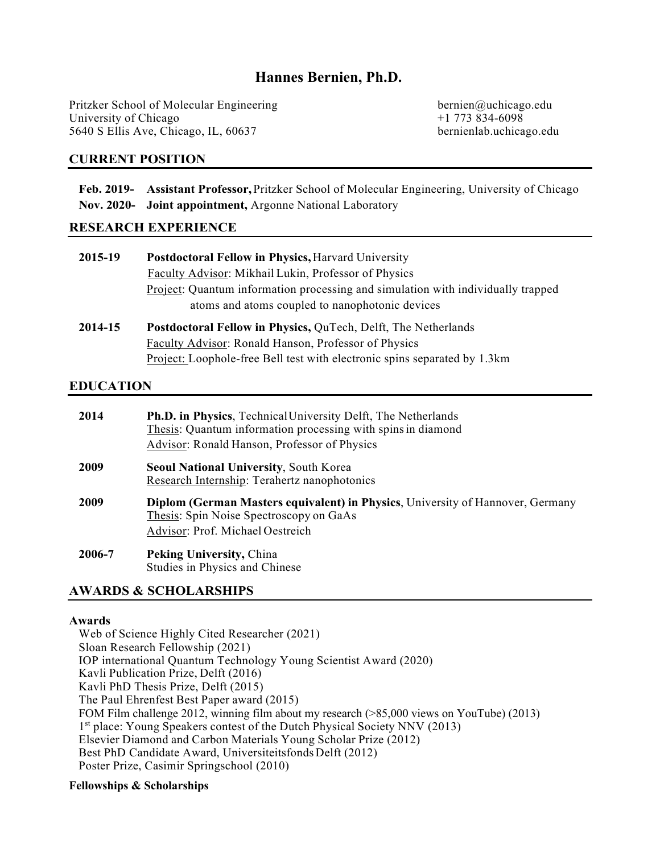# **Hannes Bernien, Ph.D.**

Pritzker School of Molecular Engineering bernien@uchicago.edu University of Chicago  $+1$  773 834-6098<br>5640 S Ellis Ave, Chicago, IL, 60637 bernienlab.uchicago.edu 5640 S Ellis Ave, Chicago, IL, 60637

# **CURRENT POSITION**

**Feb. 2019- Assistant Professor,** Pritzker School of Molecular Engineering, University of Chicago **Nov. 2020- Joint appointment,** Argonne National Laboratory

# **RESEARCH EXPERIENCE**

| 2015-19 | <b>Postdoctoral Fellow in Physics, Harvard University</b>                        |
|---------|----------------------------------------------------------------------------------|
|         | Faculty Advisor: Mikhail Lukin, Professor of Physics                             |
|         | Project: Quantum information processing and simulation with individually trapped |
|         | atoms and atoms coupled to nanophotonic devices                                  |
| 2014-15 | Postdoctoral Fellow in Physics, QuTech, Delft, The Netherlands                   |
|         | Faculty Advisor: Ronald Hanson, Professor of Physics                             |

Project: Loophole-free Bell test with electronic spins separated by 1.3km

# **EDUCATION**

| 2014   | <b>Ph.D. in Physics, Technical University Delft, The Netherlands</b><br>Thesis: Quantum information processing with spins in diamond<br>Advisor: Ronald Hanson, Professor of Physics |
|--------|--------------------------------------------------------------------------------------------------------------------------------------------------------------------------------------|
| 2009   | <b>Seoul National University, South Korea</b><br>Research Internship: Terahertz nanophotonics                                                                                        |
| 2009   | <b>Diplom (German Masters equivalent) in Physics, University of Hannover, Germany</b><br>Thesis: Spin Noise Spectroscopy on GaAs<br>Advisor: Prof. Michael Oestreich                 |
| 2006-7 | <b>Peking University, China</b><br>Studies in Physics and Chinese                                                                                                                    |

# **AWARDS & SCHOLARSHIPS**

### **Awards**

Web of Science Highly Cited Researcher (2021) Sloan Research Fellowship (2021) IOP international Quantum Technology Young Scientist Award (2020) Kavli Publication Prize, Delft (2016) Kavli PhD Thesis Prize, Delft (2015) The Paul Ehrenfest Best Paper award (2015) FOM Film challenge 2012, winning film about my research (>85,000 views on YouTube) (2013) 1<sup>st</sup> place: Young Speakers contest of the Dutch Physical Society NNV (2013) Elsevier Diamond and Carbon Materials Young Scholar Prize (2012) Best PhD Candidate Award, Universiteitsfonds Delft (2012) Poster Prize, Casimir Springschool (2010)

### **Fellowships & Scholarships**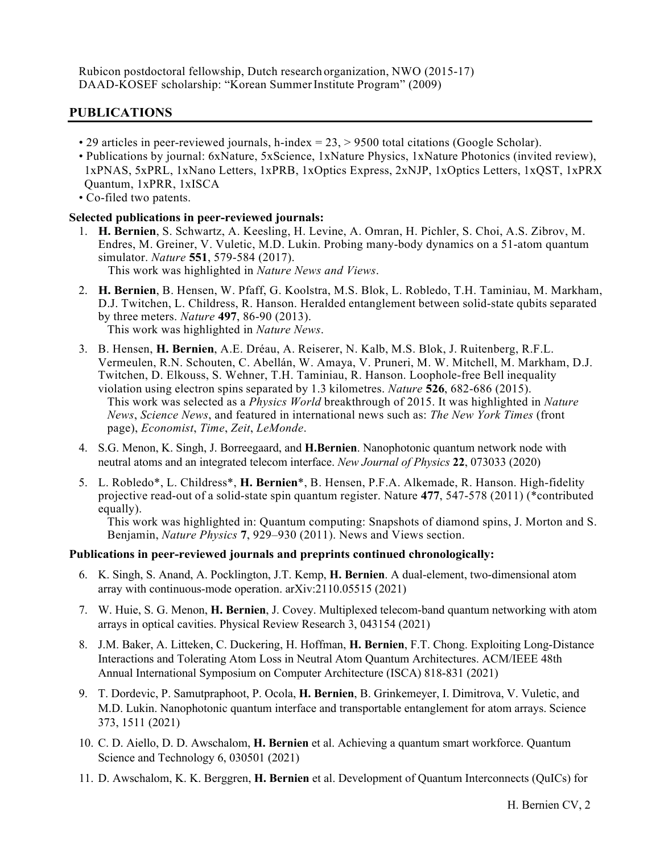Rubicon postdoctoral fellowship, Dutch research organization, NWO (2015-17) DAAD-KOSEF scholarship: "Korean Summer Institute Program" (2009)

# **PUBLICATIONS**

- 29 articles in peer-reviewed journals, h-index = 23, > 9500 total citations (Google Scholar).
- Publications by journal: 6xNature, 5xScience, 1xNature Physics, 1xNature Photonics (invited review), 1xPNAS, 5xPRL, 1xNano Letters, 1xPRB, 1xOptics Express, 2xNJP, 1xOptics Letters, 1xQST, 1xPRX Quantum, 1xPRR, 1xISCA
- Co-filed two patents.

#### **Selected publications in peer-reviewed journals:**

- 1. **H. Bernien**, S. Schwartz, A. Keesling, H. Levine, A. Omran, H. Pichler, S. Choi, A.S. Zibrov, M. Endres, M. Greiner, V. Vuletic, M.D. Lukin. Probing many-body dynamics on a 51-atom quantum simulator. *Nature* **551**, 579-584 (2017). This work was highlighted in *Nature News and Views*.
- 2. **H. Bernien**, B. Hensen, W. Pfaff, G. Koolstra, M.S. Blok, L. Robledo, T.H. Taminiau, M. Markham, D.J. Twitchen, L. Childress, R. Hanson. Heralded entanglement between solid-state qubits separated by three meters. *Nature* **497**, 86-90 (2013). This work was highlighted in *Nature News*.
- 3. B. Hensen, **H. Bernien**, A.E. Dréau, A. Reiserer, N. Kalb, M.S. Blok, J. Ruitenberg, R.F.L. Vermeulen, R.N. Schouten, C. Abellán, W. Amaya, V. Pruneri, M. W. Mitchell, M. Markham, D.J. Twitchen, D. Elkouss, S. Wehner, T.H. Taminiau, R. Hanson. Loophole-free Bell inequality violation using electron spins separated by 1.3 kilometres. *Nature* **526**, 682-686 (2015). This work was selected as a *Physics World* breakthrough of 2015. It was highlighted in *Nature News*, *Science News*, and featured in international news such as: *The New York Times* (front page), *Economist*, *Time*, *Zeit*, *LeMonde*.
- 4. S.G. Menon, K. Singh, J. Borreegaard, and **H.Bernien**. Nanophotonic quantum network node with neutral atoms and an integrated telecom interface. *New Journal of Physics* **22**, 073033 (2020)
- 5. L. Robledo\*, L. Childress\*, **H. Bernien**\*, B. Hensen, P.F.A. Alkemade, R. Hanson. High-fidelity projective read-out of a solid-state spin quantum register. Nature **477**, 547-578 (2011) (\*contributed equally).

This work was highlighted in: Quantum computing: Snapshots of diamond spins, J. Morton and S. Benjamin, *Nature Physics* **7**, 929–930 (2011). News and Views section.

#### **Publications in peer-reviewed journals and preprints continued chronologically:**

- 6. K. Singh, S. Anand, A. Pocklington, J.T. Kemp, **H. Bernien**. A dual-element, two-dimensional atom array with continuous-mode operation. arXiv:2110.05515 (2021)
- 7. W. Huie, S. G. Menon, **H. Bernien**, J. Covey. Multiplexed telecom-band quantum networking with atom arrays in optical cavities. Physical Review Research 3, 043154 (2021)
- 8. J.M. Baker, A. Litteken, C. Duckering, H. Hoffman, **H. Bernien**, F.T. Chong. Exploiting Long-Distance Interactions and Tolerating Atom Loss in Neutral Atom Quantum Architectures. ACM/IEEE 48th Annual International Symposium on Computer Architecture (ISCA) 818-831 (2021)
- 9. T. Dordevic, P. Samutpraphoot, P. Ocola, **H. Bernien**, B. Grinkemeyer, I. Dimitrova, V. Vuletic, and M.D. Lukin. Nanophotonic quantum interface and transportable entanglement for atom arrays. Science 373, 1511 (2021)
- 10. C. D. Aiello, D. D. Awschalom, **H. Bernien** et al. Achieving a quantum smart workforce. Quantum Science and Technology 6, 030501 (2021)
- 11. D. Awschalom, K. K. Berggren, **H. Bernien** et al. Development of Quantum Interconnects (QuICs) for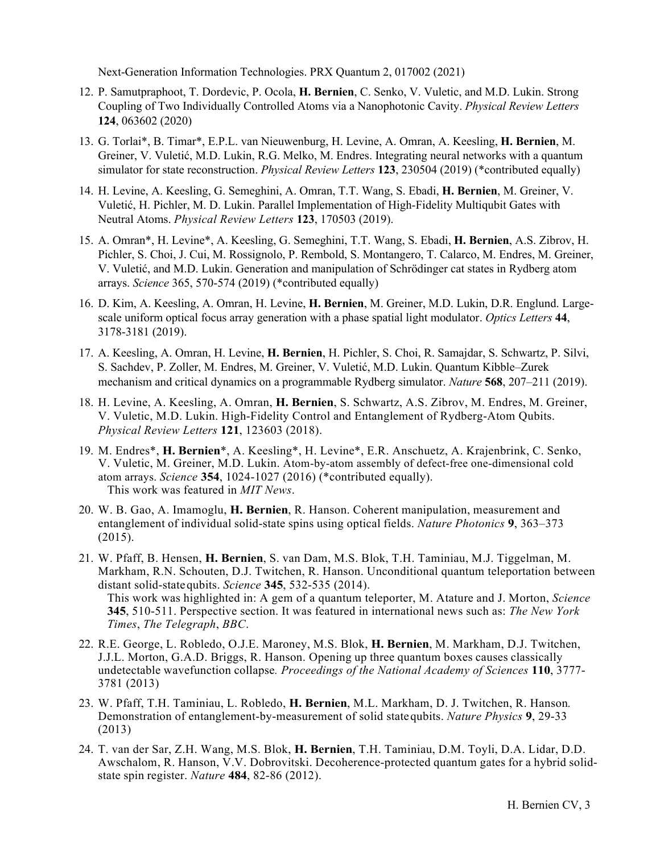Next-Generation Information Technologies. PRX Quantum 2, 017002 (2021)

- 12. P. Samutpraphoot, T. Dordevic, P. Ocola, **H. Bernien**, C. Senko, V. Vuletic, and M.D. Lukin. Strong Coupling of Two Individually Controlled Atoms via a Nanophotonic Cavity. *Physical Review Letters* **124**, 063602 (2020)
- 13. G. Torlai\*, B. Timar\*, E.P.L. van Nieuwenburg, H. Levine, A. Omran, A. Keesling, **H. Bernien**, M. Greiner, V. Vuletić, M.D. Lukin, R.G. Melko, M. Endres. Integrating neural networks with a quantum simulator for state reconstruction. *Physical Review Letters* **123**, 230504 (2019) (\*contributed equally)
- 14. H. Levine, A. Keesling, G. Semeghini, A. Omran, T.T. Wang, S. Ebadi, **H. Bernien**, M. Greiner, V. Vuletić, H. Pichler, M. D. Lukin. Parallel Implementation of High-Fidelity Multiqubit Gates with Neutral Atoms. *Physical Review Letters* **123**, 170503 (2019).
- 15. A. Omran\*, H. Levine\*, A. Keesling, G. Semeghini, T.T. Wang, S. Ebadi, **H. Bernien**, A.S. Zibrov, H. Pichler, S. Choi, J. Cui, M. Rossignolo, P. Rembold, S. Montangero, T. Calarco, M. Endres, M. Greiner, V. Vuletić, and M.D. Lukin. Generation and manipulation of Schrödinger cat states in Rydberg atom arrays. *Science* 365, 570-574 (2019) (\*contributed equally)
- 16. D. Kim, A. Keesling, A. Omran, H. Levine, **H. Bernien**, M. Greiner, M.D. Lukin, D.R. Englund. Largescale uniform optical focus array generation with a phase spatial light modulator. *Optics Letters* **44**, 3178-3181 (2019).
- 17. A. Keesling, A. Omran, H. Levine, **H. Bernien**, H. Pichler, S. Choi, R. Samajdar, S. Schwartz, P. Silvi, S. Sachdev, P. Zoller, M. Endres, M. Greiner, V. Vuletić, M.D. Lukin. Quantum Kibble–Zurek mechanism and critical dynamics on a programmable Rydberg simulator. *Nature* **568**, 207–211 (2019).
- 18. H. Levine, A. Keesling, A. Omran, **H. Bernien**, S. Schwartz, A.S. Zibrov, M. Endres, M. Greiner, V. Vuletic, M.D. Lukin. High-Fidelity Control and Entanglement of Rydberg-Atom Qubits. *Physical Review Letters* **121**, 123603 (2018).
- 19. M. Endres\*, **H. Bernien**\*, A. Keesling\*, H. Levine\*, E.R. Anschuetz, A. Krajenbrink, C. Senko, V. Vuletic, M. Greiner, M.D. Lukin. Atom-by-atom assembly of defect-free one-dimensional cold atom arrays. *Science* **354**, 1024-1027 (2016) (\*contributed equally). This work was featured in *MIT News*.
- 20. W. B. Gao, A. Imamoglu, **H. Bernien**, R. Hanson. Coherent manipulation, measurement and entanglement of individual solid-state spins using optical fields. *Nature Photonics* **9**, 363–373 (2015).
- 21. W. Pfaff, B. Hensen, **H. Bernien**, S. van Dam, M.S. Blok, T.H. Taminiau, M.J. Tiggelman, M. Markham, R.N. Schouten, D.J. Twitchen, R. Hanson. Unconditional quantum teleportation between distant solid-statequbits. *Science* **345**, 532-535 (2014). This work was highlighted in: A gem of a quantum teleporter, M. Atature and J. Morton, *Science* **345**, 510-511. Perspective section. It was featured in international news such as: *The New York Times*, *The Telegraph*, *BBC*.
- 22. R.E. George, L. Robledo, O.J.E. Maroney, M.S. Blok, **H. Bernien**, M. Markham, D.J. Twitchen, J.J.L. Morton, G.A.D. Briggs, R. Hanson. Opening up three quantum boxes causes classically undetectable wavefunction collapse*. Proceedings of the National Academy of Sciences* **110**, 3777- 3781 (2013)
- 23. W. Pfaff, T.H. Taminiau, L. Robledo, **H. Bernien**, M.L. Markham, D. J. Twitchen, R. Hanson*.*  Demonstration of entanglement-by-measurement of solid statequbits. *Nature Physics* **9**, 29-33 (2013)
- 24. T. van der Sar, Z.H. Wang, M.S. Blok, **H. Bernien**, T.H. Taminiau, D.M. Toyli, D.A. Lidar, D.D. Awschalom, R. Hanson, V.V. Dobrovitski. Decoherence-protected quantum gates for a hybrid solidstate spin register. *Nature* **484**, 82-86 (2012).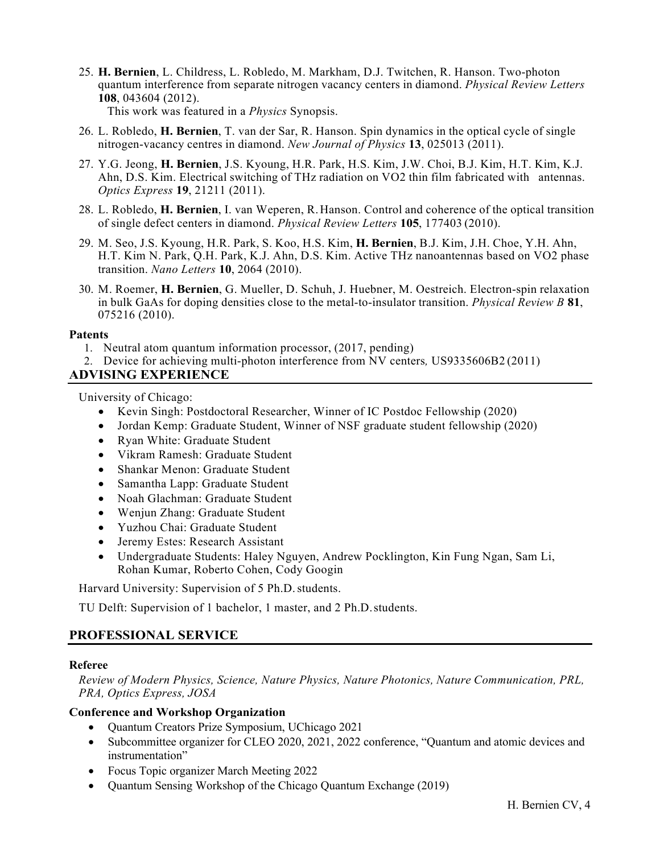25. **H. Bernien**, L. Childress, L. Robledo, M. Markham, D.J. Twitchen, R. Hanson. Two-photon quantum interference from separate nitrogen vacancy centers in diamond. *Physical Review Letters* **108**, 043604 (2012). This work was featured in a *Physics* Synopsis.

26. L. Robledo, **H. Bernien**, T. van der Sar, R. Hanson. Spin dynamics in the optical cycle of single nitrogen-vacancy centres in diamond. *New Journal of Physics* **13**, 025013 (2011).

- 27. Y.G. Jeong, **H. Bernien**, J.S. Kyoung, H.R. Park, H.S. Kim, J.W. Choi, B.J. Kim, H.T. Kim, K.J. Ahn, D.S. Kim. Electrical switching of THz radiation on VO2 thin film fabricated with antennas. *Optics Express* **19**, 21211 (2011).
- 28. L. Robledo, **H. Bernien**, I. van Weperen, R.Hanson. Control and coherence of the optical transition of single defect centers in diamond. *Physical Review Letters* **105**, 177403 (2010).
- 29. M. Seo, J.S. Kyoung, H.R. Park, S. Koo, H.S. Kim, **H. Bernien**, B.J. Kim, J.H. Choe, Y.H. Ahn, H.T. Kim N. Park, Q.H. Park, K.J. Ahn, D.S. Kim. Active THz nanoantennas based on VO2 phase transition. *Nano Letters* **10**, 2064 (2010).
- 30. M. Roemer, **H. Bernien**, G. Mueller, D. Schuh, J. Huebner, M. Oestreich. Electron-spin relaxation in bulk GaAs for doping densities close to the metal-to-insulator transition. *Physical Review B* **81**, 075216 (2010).

#### **Patents**

- 1. Neutral atom quantum information processor, (2017, pending)
- 2. Device for achieving multi-photon interference from NV centers*,* US9335606B2 (2011)

# **ADVISING EXPERIENCE**

University of Chicago:

- Kevin Singh: Postdoctoral Researcher, Winner of IC Postdoc Fellowship (2020)
- Jordan Kemp: Graduate Student, Winner of NSF graduate student fellowship (2020)
- Ryan White: Graduate Student
- Vikram Ramesh: Graduate Student
- Shankar Menon: Graduate Student
- Samantha Lapp: Graduate Student
- Noah Glachman: Graduate Student
- Wenjun Zhang: Graduate Student
- Yuzhou Chai: Graduate Student
- Jeremy Estes: Research Assistant
- Undergraduate Students: Haley Nguyen, Andrew Pocklington, Kin Fung Ngan, Sam Li, Rohan Kumar, Roberto Cohen, Cody Googin

Harvard University: Supervision of 5 Ph.D. students.

TU Delft: Supervision of 1 bachelor, 1 master, and 2 Ph.D.students.

### **PROFESSIONAL SERVICE**

#### **Referee**

*Review of Modern Physics, Science, Nature Physics, Nature Photonics, Nature Communication, PRL, PRA, Optics Express, JOSA*

#### **Conference and Workshop Organization**

- Quantum Creators Prize Symposium, UChicago 2021
- Subcommittee organizer for CLEO 2020, 2021, 2022 conference, "Quantum and atomic devices and instrumentation"
- Focus Topic organizer March Meeting 2022
- Quantum Sensing Workshop of the Chicago Quantum Exchange (2019)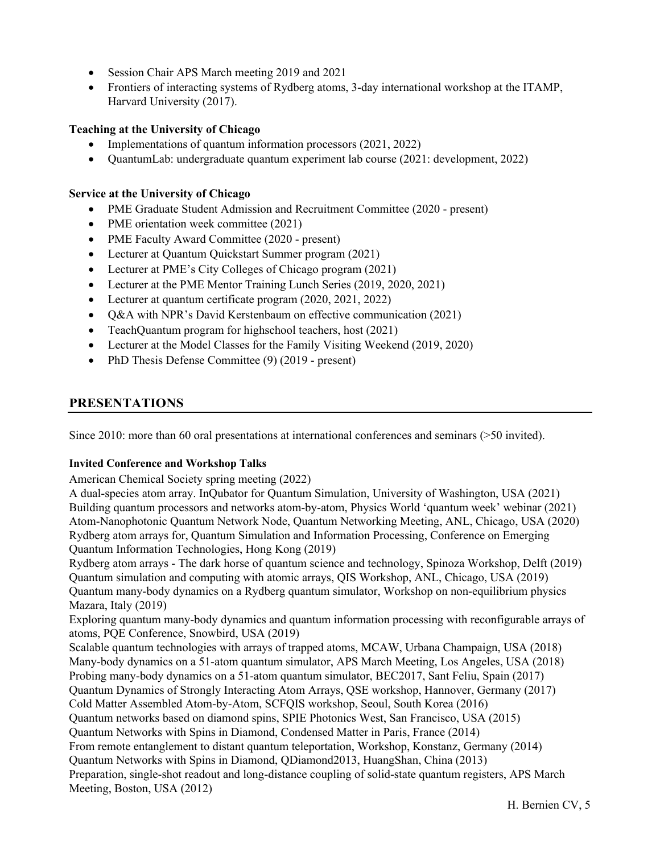- Session Chair APS March meeting 2019 and 2021
- Frontiers of interacting systems of Rydberg atoms, 3-day international workshop at the ITAMP, Harvard University (2017).

# **Teaching at the University of Chicago**

- Implementations of quantum information processors (2021, 2022)
- QuantumLab: undergraduate quantum experiment lab course (2021: development, 2022)

## **Service at the University of Chicago**

- PME Graduate Student Admission and Recruitment Committee (2020 present)
- PME orientation week committee (2021)
- PME Faculty Award Committee (2020 present)
- Lecturer at Quantum Quickstart Summer program (2021)
- Lecturer at PME's City Colleges of Chicago program (2021)
- Lecturer at the PME Mentor Training Lunch Series (2019, 2020, 2021)
- Lecturer at quantum certificate program (2020, 2021, 2022)
- Q&A with NPR's David Kerstenbaum on effective communication (2021)
- TeachQuantum program for highschool teachers, host (2021)
- Lecturer at the Model Classes for the Family Visiting Weekend (2019, 2020)
- PhD Thesis Defense Committee (9) (2019 present)

# **PRESENTATIONS**

Since 2010: more than 60 oral presentations at international conferences and seminars (>50 invited).

### **Invited Conference and Workshop Talks**

American Chemical Society spring meeting (2022)

A dual-species atom array. InQubator for Quantum Simulation, University of Washington, USA (2021) Building quantum processors and networks atom-by-atom, Physics World 'quantum week' webinar (2021) Atom-Nanophotonic Quantum Network Node, Quantum Networking Meeting, ANL, Chicago, USA (2020) Rydberg atom arrays for, Quantum Simulation and Information Processing, Conference on Emerging Quantum Information Technologies, Hong Kong (2019)

Rydberg atom arrays - The dark horse of quantum science and technology, Spinoza Workshop, Delft (2019) Quantum simulation and computing with atomic arrays, QIS Workshop, ANL, Chicago, USA (2019) Quantum many-body dynamics on a Rydberg quantum simulator, Workshop on non-equilibrium physics Mazara, Italy (2019)

Exploring quantum many-body dynamics and quantum information processing with reconfigurable arrays of atoms, PQE Conference, Snowbird, USA (2019)

Scalable quantum technologies with arrays of trapped atoms, MCAW, Urbana Champaign, USA (2018) Many-body dynamics on a 51-atom quantum simulator, APS March Meeting, Los Angeles, USA (2018) Probing many-body dynamics on a 51-atom quantum simulator, BEC2017, Sant Feliu, Spain (2017) Quantum Dynamics of Strongly Interacting Atom Arrays, QSE workshop, Hannover, Germany (2017) Cold Matter Assembled Atom-by-Atom, SCFQIS workshop, Seoul, South Korea (2016) Quantum networks based on diamond spins, SPIE Photonics West, San Francisco, USA (2015) Quantum Networks with Spins in Diamond, Condensed Matter in Paris, France (2014) From remote entanglement to distant quantum teleportation, Workshop, Konstanz, Germany (2014) Quantum Networks with Spins in Diamond, QDiamond2013, HuangShan, China (2013) Preparation, single-shot readout and long-distance coupling of solid-state quantum registers, APS March Meeting, Boston, USA (2012)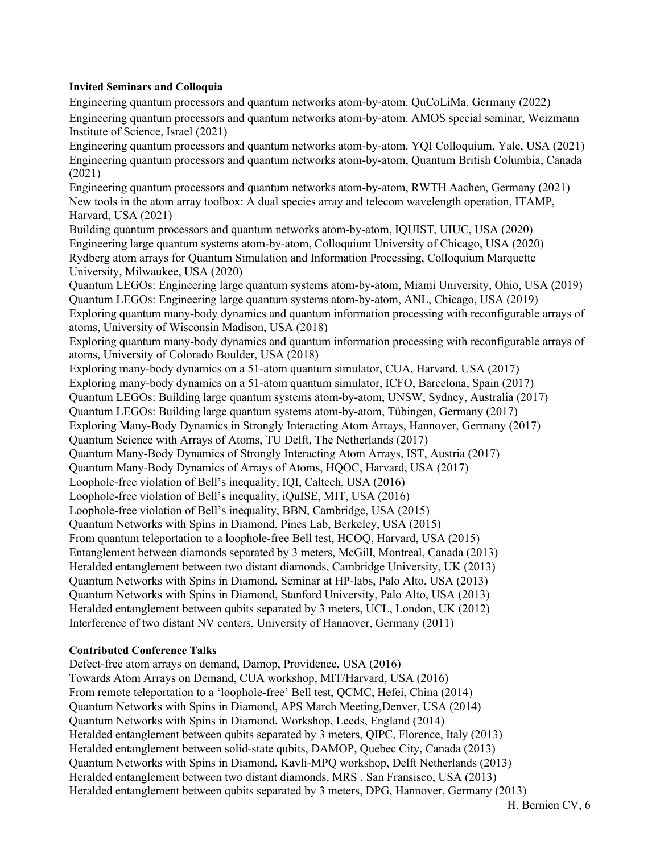#### **Invited Seminars and Colloquia**

Engineering quantum processors and quantum networks atom-by-atom. QuCoLiMa, Germany (2022) Engineering quantum processors and quantum networks atom-by-atom. AMOS special seminar, Weizmann Institute of Science, Israel (2021) Engineering quantum processors and quantum networks atom-by-atom. YQI Colloquium, Yale, USA (2021) Engineering quantum processors and quantum networks atom-by-atom, Quantum British Columbia, Canada (2021) Engineering quantum processors and quantum networks atom-by-atom, RWTH Aachen, Germany (2021) New tools in the atom array toolbox: A dual species array and telecom wavelength operation, ITAMP, Harvard, USA (2021) Building quantum processors and quantum networks atom-by-atom, IQUIST, UIUC, USA (2020) Engineering large quantum systems atom-by-atom, Colloquium University of Chicago, USA (2020) Rydberg atom arrays for Quantum Simulation and Information Processing, Colloquium Marquette University, Milwaukee, USA (2020) Quantum LEGOs: Engineering large quantum systems atom-by-atom, Miami University, Ohio, USA (2019) Quantum LEGOs: Engineering large quantum systems atom-by-atom, ANL, Chicago, USA (2019) Exploring quantum many-body dynamics and quantum information processing with reconfigurable arrays of atoms, University of Wisconsin Madison, USA (2018) Exploring quantum many-body dynamics and quantum information processing with reconfigurable arrays of atoms, University of Colorado Boulder, USA (2018) Exploring many-body dynamics on a 51-atom quantum simulator, CUA, Harvard, USA (2017) Exploring many-body dynamics on a 51-atom quantum simulator, ICFO, Barcelona, Spain (2017) Quantum LEGOs: Building large quantum systems atom-by-atom, UNSW, Sydney, Australia (2017) Quantum LEGOs: Building large quantum systems atom-by-atom, Tübingen, Germany (2017) Exploring Many-Body Dynamics in Strongly Interacting Atom Arrays, Hannover, Germany (2017) Quantum Science with Arrays of Atoms, TU Delft, The Netherlands (2017) Quantum Many-Body Dynamics of Strongly Interacting Atom Arrays, IST, Austria (2017) Quantum Many-Body Dynamics of Arrays of Atoms, HQOC, Harvard, USA (2017) Loophole-free violation of Bell's inequality, IQI, Caltech, USA (2016) Loophole-free violation of Bell's inequality, iQuISE, MIT, USA (2016) Loophole-free violation of Bell's inequality, BBN, Cambridge, USA (2015) Quantum Networks with Spins in Diamond, Pines Lab, Berkeley, USA (2015) From quantum teleportation to a loophole-free Bell test, HCOQ, Harvard, USA (2015) Entanglement between diamonds separated by 3 meters, McGill, Montreal, Canada (2013) Heralded entanglement between two distant diamonds, Cambridge University, UK (2013) Quantum Networks with Spins in Diamond, Seminar at HP-labs, Palo Alto, USA (2013) Quantum Networks with Spins in Diamond, Stanford University, Palo Alto, USA (2013) Heralded entanglement between qubits separated by 3 meters, UCL, London, UK (2012) Interference of two distant NV centers, University of Hannover, Germany (2011)

### **Contributed Conference Talks**

Defect-free atom arrays on demand, Damop, Providence, USA (2016) Towards Atom Arrays on Demand, CUA workshop, MIT/Harvard, USA (2016) From remote teleportation to a 'loophole-free' Bell test, QCMC, Hefei, China (2014) Quantum Networks with Spins in Diamond, APS March Meeting,Denver, USA (2014) Quantum Networks with Spins in Diamond, Workshop, Leeds, England (2014) Heralded entanglement between qubits separated by 3 meters, QIPC, Florence, Italy (2013) Heralded entanglement between solid-state qubits, DAMOP, Quebec City, Canada (2013) Quantum Networks with Spins in Diamond, Kavli-MPQ workshop, Delft Netherlands (2013) Heralded entanglement between two distant diamonds, MRS , San Fransisco, USA (2013) Heralded entanglement between qubits separated by 3 meters, DPG, Hannover, Germany (2013)